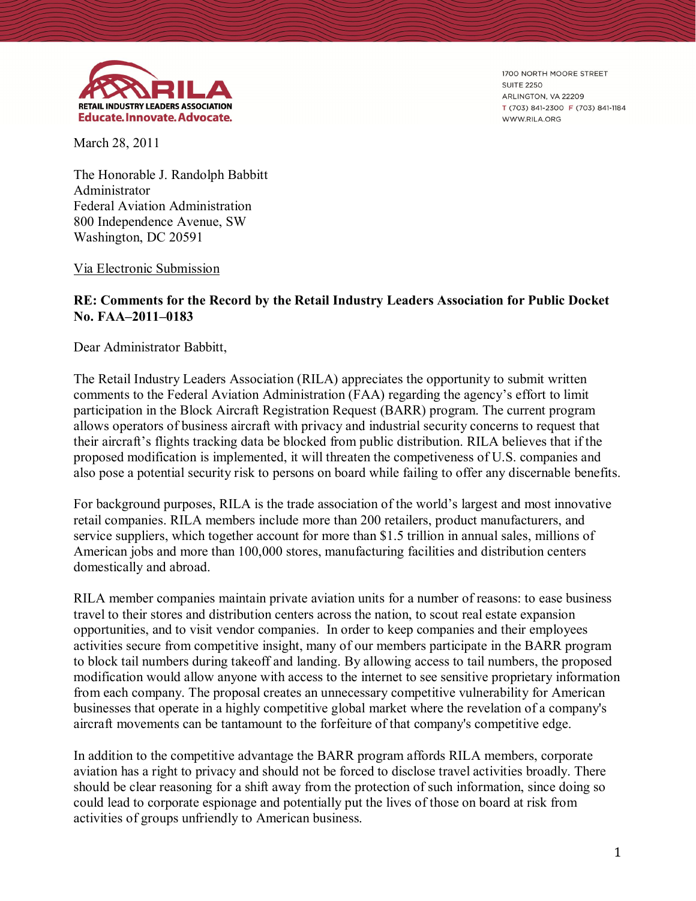

1700 NORTH MOORE STREET **SUITE 2250** ARLINGTON, VA 22209 T (703) 841-2300 F (703) 841-1184 WWW.RILA.ORG

March 28, 2011

The Honorable J. Randolph Babbitt Administrator Federal Aviation Administration 800 Independence Avenue, SW Washington, DC 20591

## Via Electronic Submission

## **RE: Comments for the Record by the Retail Industry Leaders Association for Public Docket No. FAA–2011–0183**

Dear Administrator Babbitt,

The Retail Industry Leaders Association (RILA) appreciates the opportunity to submit written comments to the Federal Aviation Administration (FAA) regarding the agency's effort to limit participation in the Block Aircraft Registration Request (BARR) program. The current program allows operators of business aircraft with privacy and industrial security concerns to request that their aircraft's flights tracking data be blocked from public distribution. RILA believes that if the proposed modification is implemented, it will threaten the competiveness of U.S. companies and also pose a potential security risk to persons on board while failing to offer any discernable benefits.

For background purposes, RILA is the trade association of the world's largest and most innovative retail companies. RILA members include more than 200 retailers, product manufacturers, and service suppliers, which together account for more than \$1.5 trillion in annual sales, millions of American jobs and more than 100,000 stores, manufacturing facilities and distribution centers domestically and abroad.

RILA member companies maintain private aviation units for a number of reasons: to ease business travel to their stores and distribution centers across the nation, to scout real estate expansion opportunities, and to visit vendor companies. In order to keep companies and their employees activities secure from competitive insight, many of our members participate in the BARR program to block tail numbers during takeoff and landing. By allowing access to tail numbers, the proposed modification would allow anyone with access to the internet to see sensitive proprietary information from each company. The proposal creates an unnecessary competitive vulnerability for American businesses that operate in a highly competitive global market where the revelation of a company's aircraft movements can be tantamount to the forfeiture of that company's competitive edge.

In addition to the competitive advantage the BARR program affords RILA members, corporate aviation has a right to privacy and should not be forced to disclose travel activities broadly. There should be clear reasoning for a shift away from the protection of such information, since doing so could lead to corporate espionage and potentially put the lives of those on board at risk from activities of groups unfriendly to American business.